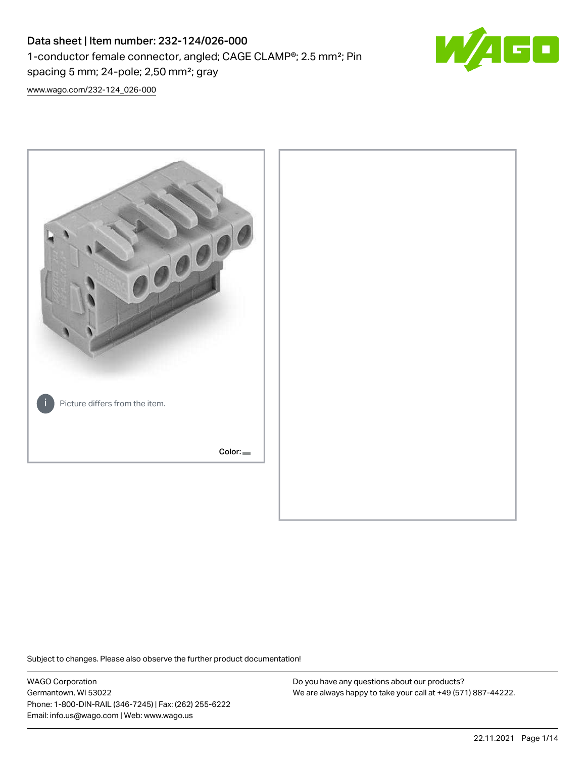# Data sheet | Item number: 232-124/026-000 1-conductor female connector, angled; CAGE CLAMP®; 2.5 mm²; Pin spacing 5 mm; 24-pole; 2,50 mm²; gray



[www.wago.com/232-124\\_026-000](http://www.wago.com/232-124_026-000)



Subject to changes. Please also observe the further product documentation!

WAGO Corporation Germantown, WI 53022 Phone: 1-800-DIN-RAIL (346-7245) | Fax: (262) 255-6222 Email: info.us@wago.com | Web: www.wago.us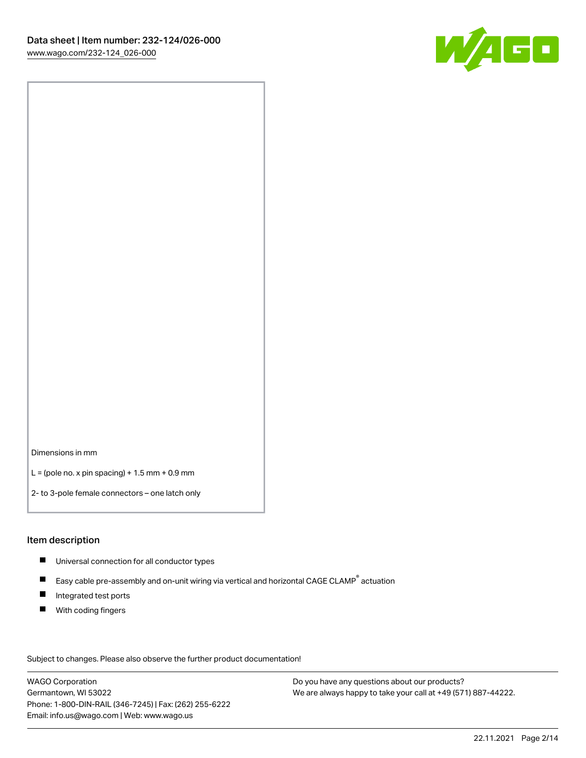

Dimensions in mm

 $L =$  (pole no. x pin spacing) + 1.5 mm + 0.9 mm

2- to 3-pole female connectors – one latch only

#### Item description

- **Universal connection for all conductor types**
- Easy cable pre-assembly and on-unit wiring via vertical and horizontal CAGE CLAMP<sup>®</sup> actuation  $\blacksquare$
- $\blacksquare$ Integrated test ports
- $\blacksquare$ With coding fingers

Subject to changes. Please also observe the further product documentation! Data

WAGO Corporation Germantown, WI 53022 Phone: 1-800-DIN-RAIL (346-7245) | Fax: (262) 255-6222 Email: info.us@wago.com | Web: www.wago.us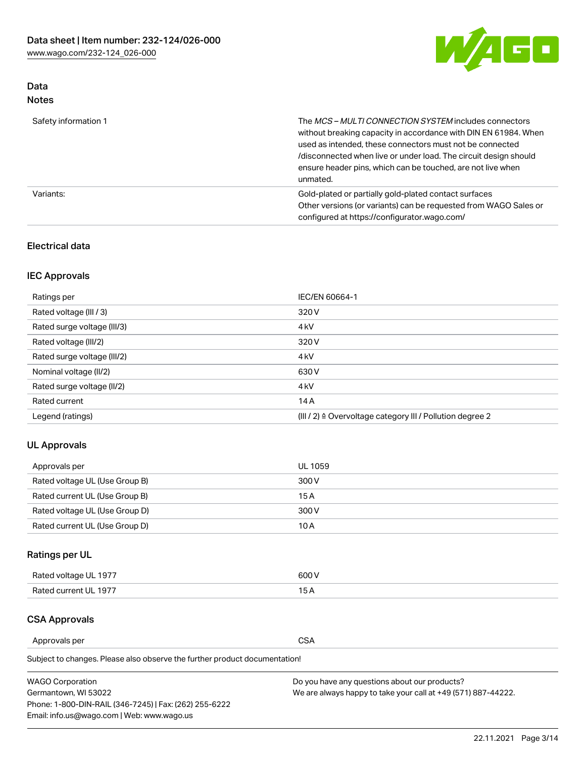

## Data Notes

| Safety information 1 | The MCS-MULTI CONNECTION SYSTEM includes connectors<br>without breaking capacity in accordance with DIN EN 61984. When<br>used as intended, these connectors must not be connected<br>/disconnected when live or under load. The circuit design should<br>ensure header pins, which can be touched, are not live when<br>unmated. |
|----------------------|-----------------------------------------------------------------------------------------------------------------------------------------------------------------------------------------------------------------------------------------------------------------------------------------------------------------------------------|
| Variants:            | Gold-plated or partially gold-plated contact surfaces<br>Other versions (or variants) can be requested from WAGO Sales or<br>configured at https://configurator.wago.com/                                                                                                                                                         |

## Electrical data

## IEC Approvals

| Ratings per                 | IEC/EN 60664-1                                                        |
|-----------------------------|-----------------------------------------------------------------------|
| Rated voltage (III / 3)     | 320 V                                                                 |
| Rated surge voltage (III/3) | 4 <sub>k</sub> V                                                      |
| Rated voltage (III/2)       | 320 V                                                                 |
| Rated surge voltage (III/2) | 4 <sub>k</sub> V                                                      |
| Nominal voltage (II/2)      | 630 V                                                                 |
| Rated surge voltage (II/2)  | 4 <sub>k</sub> V                                                      |
| Rated current               | 14A                                                                   |
| Legend (ratings)            | $(III / 2)$ $\triangle$ Overvoltage category III / Pollution degree 2 |

## UL Approvals

| Approvals per                  | UL 1059 |
|--------------------------------|---------|
| Rated voltage UL (Use Group B) | 300 V   |
| Rated current UL (Use Group B) | 15 A    |
| Rated voltage UL (Use Group D) | 300 V   |
| Rated current UL (Use Group D) | 10 A    |

# Ratings per UL

| Rated voltage UL 1977 | 300 V |
|-----------------------|-------|
| Rated current UL 1977 |       |

## CSA Approvals

Approvals per CSA

Subject to changes. Please also observe the further product documentation!

| <b>WAGO Corporation</b>                                | Do you have any questions about our products?                 |
|--------------------------------------------------------|---------------------------------------------------------------|
| Germantown, WI 53022                                   | We are always happy to take your call at +49 (571) 887-44222. |
| Phone: 1-800-DIN-RAIL (346-7245)   Fax: (262) 255-6222 |                                                               |
| Email: info.us@wago.com   Web: www.wago.us             |                                                               |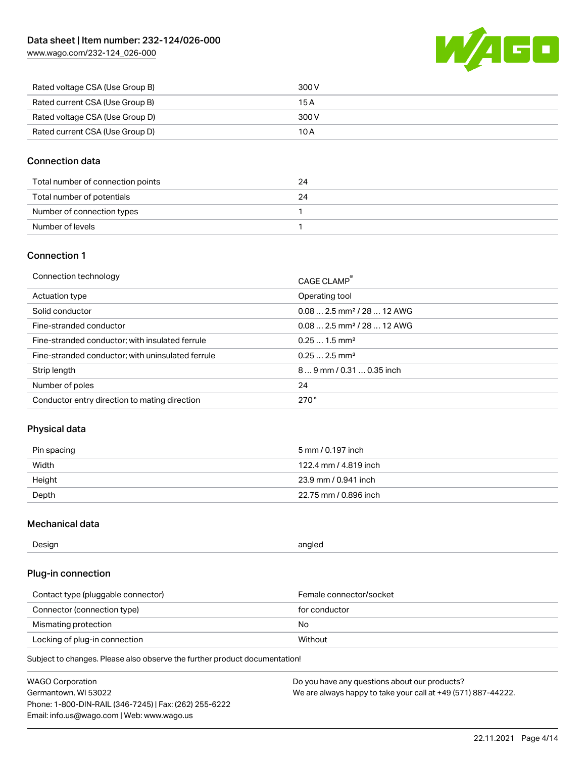

| Rated voltage CSA (Use Group B) | 300 V |
|---------------------------------|-------|
| Rated current CSA (Use Group B) | 15 A  |
| Rated voltage CSA (Use Group D) | 300 V |
| Rated current CSA (Use Group D) | 10 A  |

## Connection data

| Total number of connection points | 24 |
|-----------------------------------|----|
| Total number of potentials        | 24 |
| Number of connection types        |    |
| Number of levels                  |    |

## Connection 1

| Connection technology                             | CAGE CLAMP®                            |
|---------------------------------------------------|----------------------------------------|
| Actuation type                                    | Operating tool                         |
| Solid conductor                                   | $0.082.5$ mm <sup>2</sup> / 28  12 AWG |
| Fine-stranded conductor                           | $0.082.5$ mm <sup>2</sup> / 28  12 AWG |
| Fine-stranded conductor; with insulated ferrule   | $0.251.5$ mm <sup>2</sup>              |
| Fine-stranded conductor; with uninsulated ferrule | $0.252.5$ mm <sup>2</sup>              |
| Strip length                                      | $89$ mm $/ 0.310.35$ inch              |
| Number of poles                                   | 24                                     |
| Conductor entry direction to mating direction     | 270°                                   |

## Physical data

| Pin spacing | 5 mm / 0.197 inch     |
|-------------|-----------------------|
| Width       | 122.4 mm / 4.819 inch |
| Height      | 23.9 mm / 0.941 inch  |
| Depth       | 22.75 mm / 0.896 inch |

## Mechanical data

| --<br>Design | angled<br>. . |
|--------------|---------------|
|              |               |

## Plug-in connection

| Contact type (pluggable connector) | Female connector/socket |
|------------------------------------|-------------------------|
| Connector (connection type)        | for conductor           |
| Mismating protection               | No                      |
| Locking of plug-in connection      | Without                 |

Subject to changes. Please also observe the further product documentation!

| <b>WAGO Corporation</b>                                | Do you have any questions about our products?                 |
|--------------------------------------------------------|---------------------------------------------------------------|
| Germantown, WI 53022                                   | We are always happy to take your call at +49 (571) 887-44222. |
| Phone: 1-800-DIN-RAIL (346-7245)   Fax: (262) 255-6222 |                                                               |
| Email: info.us@wago.com   Web: www.wago.us             |                                                               |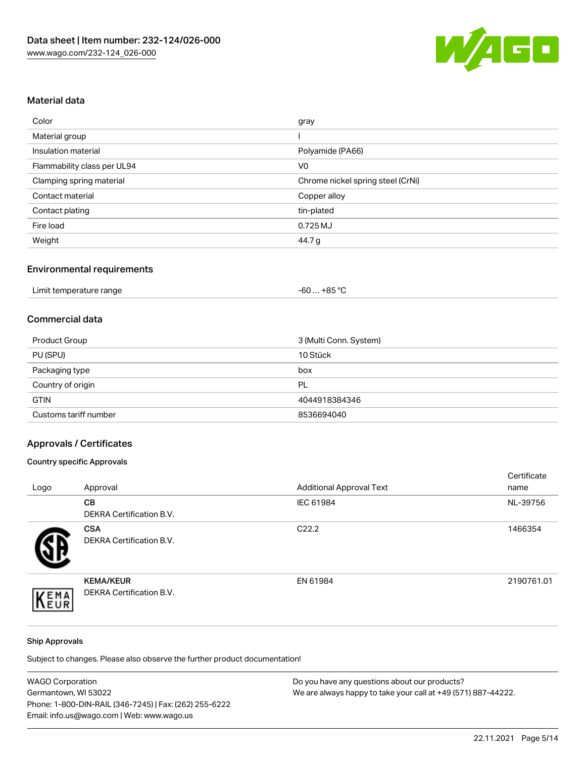

## Material data

| Color                       | gray                              |
|-----------------------------|-----------------------------------|
| Material group              |                                   |
| Insulation material         | Polyamide (PA66)                  |
| Flammability class per UL94 | V <sub>0</sub>                    |
| Clamping spring material    | Chrome nickel spring steel (CrNi) |
| Contact material            | Copper alloy                      |
| Contact plating             | tin-plated                        |
| Fire load                   | 0.725 MJ                          |
| Weight                      | 44.7 g                            |

# Environmental requirements

| Limit temperature range<br>. | . +85 °ົ<br>-60 |  |
|------------------------------|-----------------|--|
|------------------------------|-----------------|--|

## Commercial data

| Product Group         | 3 (Multi Conn. System) |
|-----------------------|------------------------|
| PU (SPU)              | 10 Stück               |
| Packaging type        | box                    |
| Country of origin     | PL                     |
| <b>GTIN</b>           | 4044918384346          |
| Customs tariff number | 8536694040             |

# Approvals / Certificates

## Country specific Approvals

| Logo | Approval                                            | <b>Additional Approval Text</b> | Certificate<br>name |
|------|-----------------------------------------------------|---------------------------------|---------------------|
|      | <b>CB</b><br><b>DEKRA Certification B.V.</b>        | IEC 61984                       | NL-39756            |
|      | <b>CSA</b><br>DEKRA Certification B.V.              | C <sub>22.2</sub>               | 1466354             |
| EMA  | <b>KEMA/KEUR</b><br><b>DEKRA Certification B.V.</b> | EN 61984                        | 2190761.01          |

#### Ship Approvals

Subject to changes. Please also observe the further product documentation!

| <b>WAGO Corporation</b>                                | Do you have any questions about our products?                 |
|--------------------------------------------------------|---------------------------------------------------------------|
| Germantown, WI 53022                                   | We are always happy to take your call at +49 (571) 887-44222. |
| Phone: 1-800-DIN-RAIL (346-7245)   Fax: (262) 255-6222 |                                                               |
| Email: info.us@wago.com   Web: www.wago.us             |                                                               |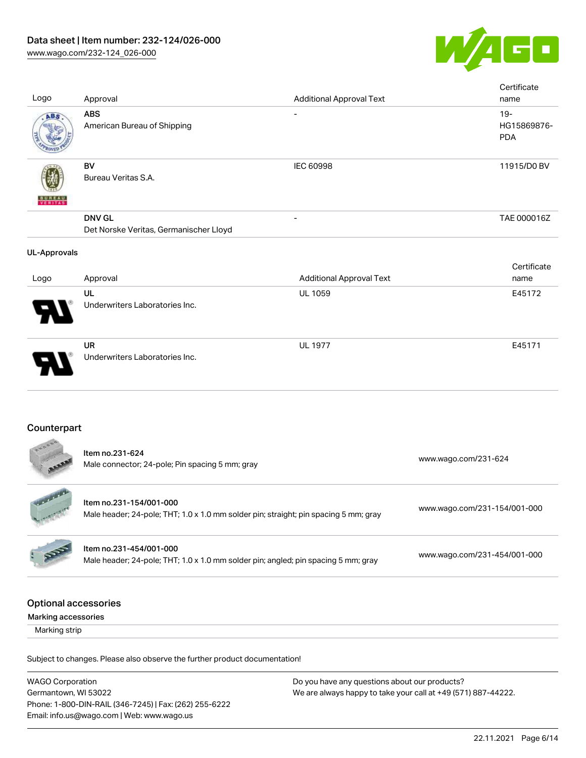

| Logo                                               | Approval                                                                                                        | <b>Additional Approval Text</b>            | Certificate<br>name                 |
|----------------------------------------------------|-----------------------------------------------------------------------------------------------------------------|--------------------------------------------|-------------------------------------|
| ABS                                                | <b>ABS</b><br>American Bureau of Shipping                                                                       |                                            | $19 -$<br>HG15869876-<br><b>PDA</b> |
|                                                    | BV<br>Bureau Veritas S.A.                                                                                       | <b>IEC 60998</b>                           | 11915/D0 BV                         |
|                                                    | <b>DNV GL</b><br>Det Norske Veritas, Germanischer Lloyd                                                         |                                            | TAE 000016Z                         |
| <b>UL-Approvals</b>                                |                                                                                                                 |                                            | Certificate                         |
| Logo                                               | Approval<br>UL<br>Underwriters Laboratories Inc.                                                                | <b>Additional Approval Text</b><br>UL 1059 | name<br>E45172                      |
|                                                    | <b>UR</b><br>Underwriters Laboratories Inc.                                                                     | <b>UL 1977</b>                             | E45171                              |
|                                                    |                                                                                                                 |                                            |                                     |
| Counterpart                                        |                                                                                                                 |                                            |                                     |
|                                                    | Item no.231-624<br>Male connector; 24-pole; Pin spacing 5 mm; gray                                              |                                            | www.wago.com/231-624                |
|                                                    | Item no.231-154/001-000<br>Male header; 24-pole; THT; 1.0 x 1.0 mm solder pin; straight; pin spacing 5 mm; gray |                                            | www.wago.com/231-154/001-000        |
|                                                    | Item no.231-454/001-000<br>Male header; 24-pole; THT; 1.0 x 1.0 mm solder pin; angled; pin spacing 5 mm; gray   |                                            | www.wago.com/231-454/001-000        |
| <b>Optional accessories</b><br>Marking accessories |                                                                                                                 |                                            |                                     |
| Marking strip                                      |                                                                                                                 |                                            |                                     |

Subject to changes. Please also observe the further product documentation!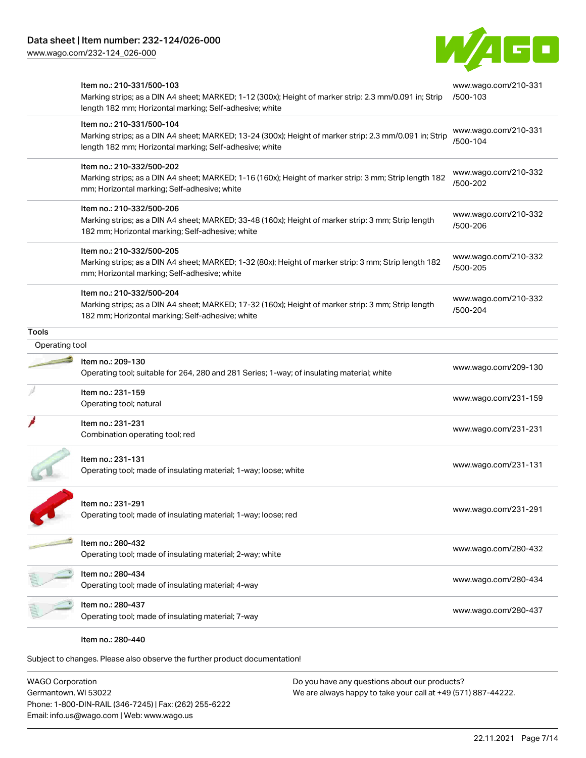

|                | Item no.: 210-331/500-103<br>Marking strips; as a DIN A4 sheet; MARKED; 1-12 (300x); Height of marker strip: 2.3 mm/0.091 in; Strip<br>length 182 mm; Horizontal marking; Self-adhesive; white  | www.wago.com/210-331<br>/500-103 |
|----------------|-------------------------------------------------------------------------------------------------------------------------------------------------------------------------------------------------|----------------------------------|
|                | Item no.: 210-331/500-104<br>Marking strips; as a DIN A4 sheet; MARKED; 13-24 (300x); Height of marker strip: 2.3 mm/0.091 in; Strip<br>length 182 mm; Horizontal marking; Self-adhesive; white | www.wago.com/210-331<br>/500-104 |
|                | Item no.: 210-332/500-202<br>Marking strips; as a DIN A4 sheet; MARKED; 1-16 (160x); Height of marker strip: 3 mm; Strip length 182<br>mm; Horizontal marking; Self-adhesive; white             | www.wago.com/210-332<br>/500-202 |
|                | Item no.: 210-332/500-206<br>Marking strips; as a DIN A4 sheet; MARKED; 33-48 (160x); Height of marker strip: 3 mm; Strip length<br>182 mm; Horizontal marking; Self-adhesive; white            | www.wago.com/210-332<br>/500-206 |
|                | Item no.: 210-332/500-205<br>Marking strips; as a DIN A4 sheet; MARKED; 1-32 (80x); Height of marker strip: 3 mm; Strip length 182<br>mm; Horizontal marking; Self-adhesive; white              | www.wago.com/210-332<br>/500-205 |
|                | Item no.: 210-332/500-204<br>Marking strips; as a DIN A4 sheet; MARKED; 17-32 (160x); Height of marker strip: 3 mm; Strip length<br>182 mm; Horizontal marking; Self-adhesive; white            | www.wago.com/210-332<br>/500-204 |
| <b>Tools</b>   |                                                                                                                                                                                                 |                                  |
| Operating tool |                                                                                                                                                                                                 |                                  |
|                | Item no.: 209-130<br>Operating tool; suitable for 264, 280 and 281 Series; 1-way; of insulating material; white                                                                                 | www.wago.com/209-130             |
|                | Item no.: 231-159<br>Operating tool; natural                                                                                                                                                    | www.wago.com/231-159             |
|                | Item no.: 231-231<br>Combination operating tool; red                                                                                                                                            | www.wago.com/231-231             |
|                | Item no.: 231-131<br>Operating tool; made of insulating material; 1-way; loose; white                                                                                                           | www.wago.com/231-131             |
|                | Item no.: 231-291<br>Operating tool; made of insulating material; 1-way; loose; red                                                                                                             | www.wago.com/231-291             |
|                | Item no.: 280-432                                                                                                                                                                               | www.wago.com/280-432             |
|                | Operating tool; made of insulating material; 2-way; white                                                                                                                                       |                                  |
|                | Item no.: 280-434<br>Operating tool; made of insulating material; 4-way                                                                                                                         | www.wago.com/280-434             |

WAGO Corporation Germantown, WI 53022 Phone: 1-800-DIN-RAIL (346-7245) | Fax: (262) 255-6222 Email: info.us@wago.com | Web: www.wago.us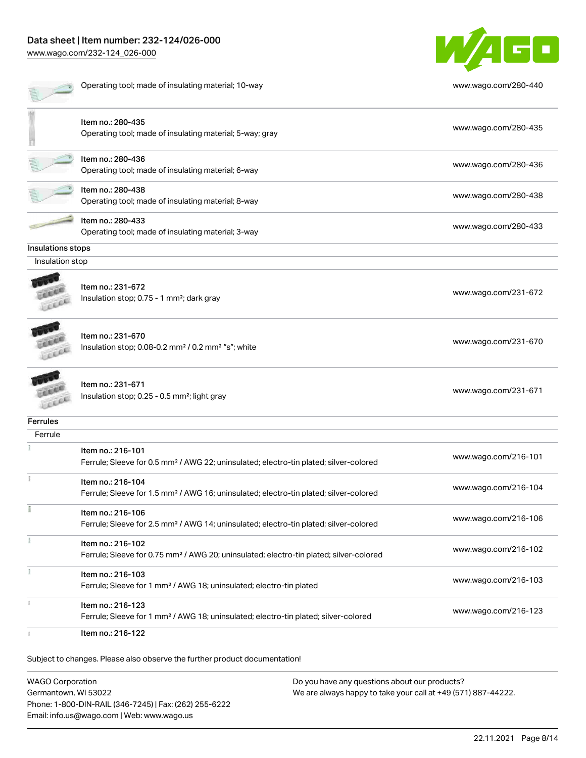# Data sheet | Item number: 232-124/026-000

[www.wago.com/232-124\\_026-000](http://www.wago.com/232-124_026-000)



|                   | Operating tool; made of insulating material; 10-way                                                                     | www.wago.com/280-440 |
|-------------------|-------------------------------------------------------------------------------------------------------------------------|----------------------|
|                   | Item no.: 280-435<br>Operating tool; made of insulating material; 5-way; gray                                           | www.wago.com/280-435 |
|                   | Item no.: 280-436<br>Operating tool; made of insulating material; 6-way                                                 | www.wago.com/280-436 |
|                   | Item no.: 280-438<br>Operating tool; made of insulating material; 8-way                                                 | www.wago.com/280-438 |
|                   | Item no.: 280-433<br>Operating tool; made of insulating material; 3-way                                                 | www.wago.com/280-433 |
| Insulations stops |                                                                                                                         |                      |
| Insulation stop   |                                                                                                                         |                      |
|                   | Item no.: 231-672<br>Insulation stop; 0.75 - 1 mm <sup>2</sup> ; dark gray                                              | www.wago.com/231-672 |
|                   | Item no.: 231-670<br>Insulation stop; 0.08-0.2 mm <sup>2</sup> / 0.2 mm <sup>2</sup> "s"; white                         | www.wago.com/231-670 |
|                   | Item no.: 231-671<br>Insulation stop; 0.25 - 0.5 mm <sup>2</sup> ; light gray                                           | www.wago.com/231-671 |
| <b>Ferrules</b>   |                                                                                                                         |                      |
| Ferrule           |                                                                                                                         |                      |
|                   | Item no.: 216-101<br>Ferrule; Sleeve for 0.5 mm <sup>2</sup> / AWG 22; uninsulated; electro-tin plated; silver-colored  | www.wago.com/216-101 |
|                   | Item no.: 216-104<br>Ferrule; Sleeve for 1.5 mm <sup>2</sup> / AWG 16; uninsulated; electro-tin plated; silver-colored  | www.wago.com/216-104 |
|                   | Item no.: 216-106<br>Ferrule; Sleeve for 2.5 mm <sup>2</sup> / AWG 14; uninsulated; electro-tin plated; silver-colored  | www.wago.com/216-106 |
| ÷                 | Item no.: 216-102<br>Ferrule; Sleeve for 0.75 mm <sup>2</sup> / AWG 20; uninsulated; electro-tin plated; silver-colored | www.wago.com/216-102 |
| ł                 | Item no.: 216-103<br>Ferrule; Sleeve for 1 mm <sup>2</sup> / AWG 18; uninsulated; electro-tin plated                    | www.wago.com/216-103 |
|                   | Item no.: 216-123<br>Ferrule; Sleeve for 1 mm <sup>2</sup> / AWG 18; uninsulated; electro-tin plated; silver-colored    | www.wago.com/216-123 |
|                   | Item no.: 216-122                                                                                                       |                      |

Subject to changes. Please also observe the further product documentation!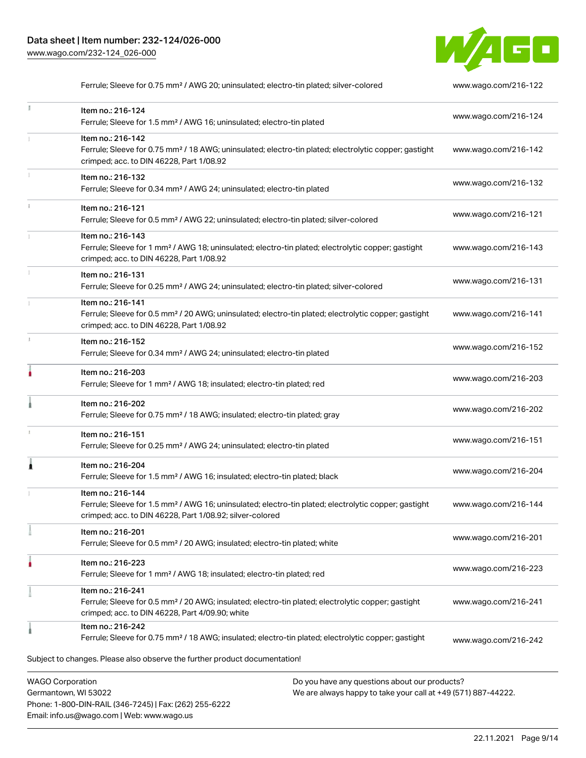Phone: 1-800-DIN-RAIL (346-7245) | Fax: (262) 255-6222

Email: info.us@wago.com | Web: www.wago.us



Ferrule; Sleeve for 0.75 mm<sup>2</sup> / AWG 20; uninsulated; electro-tin plated; silver-colored [www.wago.com/216-122](http://www.wago.com/216-122)

| Ĭ.                      | Item no.: 216-124<br>Ferrule; Sleeve for 1.5 mm <sup>2</sup> / AWG 16; uninsulated; electro-tin plated                                                                                            |                                                                                                                | www.wago.com/216-124 |
|-------------------------|---------------------------------------------------------------------------------------------------------------------------------------------------------------------------------------------------|----------------------------------------------------------------------------------------------------------------|----------------------|
|                         | Item no.: 216-142<br>Ferrule; Sleeve for 0.75 mm <sup>2</sup> / 18 AWG; uninsulated; electro-tin plated; electrolytic copper; gastight<br>crimped; acc. to DIN 46228, Part 1/08.92                |                                                                                                                | www.wago.com/216-142 |
| I.                      | Item no.: 216-132<br>Ferrule; Sleeve for 0.34 mm <sup>2</sup> / AWG 24; uninsulated; electro-tin plated                                                                                           |                                                                                                                | www.wago.com/216-132 |
| ī.                      | Item no.: 216-121<br>Ferrule; Sleeve for 0.5 mm <sup>2</sup> / AWG 22; uninsulated; electro-tin plated; silver-colored                                                                            |                                                                                                                | www.wago.com/216-121 |
|                         | Item no.: 216-143<br>Ferrule; Sleeve for 1 mm <sup>2</sup> / AWG 18; uninsulated; electro-tin plated; electrolytic copper; gastight<br>crimped; acc. to DIN 46228, Part 1/08.92                   |                                                                                                                | www.wago.com/216-143 |
| I.                      | Item no.: 216-131<br>Ferrule; Sleeve for 0.25 mm <sup>2</sup> / AWG 24; uninsulated; electro-tin plated; silver-colored                                                                           |                                                                                                                | www.wago.com/216-131 |
|                         | Item no.: 216-141<br>Ferrule; Sleeve for 0.5 mm <sup>2</sup> / 20 AWG; uninsulated; electro-tin plated; electrolytic copper; gastight<br>crimped; acc. to DIN 46228, Part 1/08.92                 |                                                                                                                | www.wago.com/216-141 |
| s.                      | Item no.: 216-152<br>Ferrule; Sleeve for 0.34 mm <sup>2</sup> / AWG 24; uninsulated; electro-tin plated                                                                                           |                                                                                                                | www.wago.com/216-152 |
| ۸                       | Item no.: 216-203<br>Ferrule; Sleeve for 1 mm <sup>2</sup> / AWG 18; insulated; electro-tin plated; red                                                                                           |                                                                                                                | www.wago.com/216-203 |
|                         | Item no.: 216-202<br>Ferrule; Sleeve for 0.75 mm <sup>2</sup> / 18 AWG; insulated; electro-tin plated; gray                                                                                       |                                                                                                                | www.wago.com/216-202 |
| 1                       | Item no.: 216-151<br>Ferrule; Sleeve for 0.25 mm <sup>2</sup> / AWG 24; uninsulated; electro-tin plated                                                                                           |                                                                                                                | www.wago.com/216-151 |
| Â                       | Item no.: 216-204<br>Ferrule; Sleeve for 1.5 mm <sup>2</sup> / AWG 16; insulated; electro-tin plated; black                                                                                       |                                                                                                                | www.wago.com/216-204 |
|                         | Item no.: 216-144<br>Ferrule; Sleeve for 1.5 mm <sup>2</sup> / AWG 16; uninsulated; electro-tin plated; electrolytic copper; gastight<br>crimped; acc. to DIN 46228, Part 1/08.92; silver-colored |                                                                                                                | www.wago.com/216-144 |
|                         | Item no.: 216-201<br>Ferrule; Sleeve for 0.5 mm <sup>2</sup> / 20 AWG; insulated; electro-tin plated; white                                                                                       |                                                                                                                | www.wago.com/216-201 |
|                         | Item no.: 216-223<br>Ferrule; Sleeve for 1 mm <sup>2</sup> / AWG 18; insulated; electro-tin plated; red                                                                                           |                                                                                                                | www.wago.com/216-223 |
|                         | Item no.: 216-241<br>Ferrule; Sleeve for 0.5 mm <sup>2</sup> / 20 AWG; insulated; electro-tin plated; electrolytic copper; gastight<br>crimped; acc. to DIN 46228, Part 4/09.90; white            |                                                                                                                | www.wago.com/216-241 |
|                         | Item no.: 216-242<br>Ferrule; Sleeve for 0.75 mm <sup>2</sup> / 18 AWG; insulated; electro-tin plated; electrolytic copper; gastight                                                              |                                                                                                                | www.wago.com/216-242 |
|                         | Subject to changes. Please also observe the further product documentation!                                                                                                                        |                                                                                                                |                      |
| <b>WAGO Corporation</b> | Germantown, WI 53022                                                                                                                                                                              | Do you have any questions about our products?<br>We are always happy to take your call at +49 (571) 887-44222. |                      |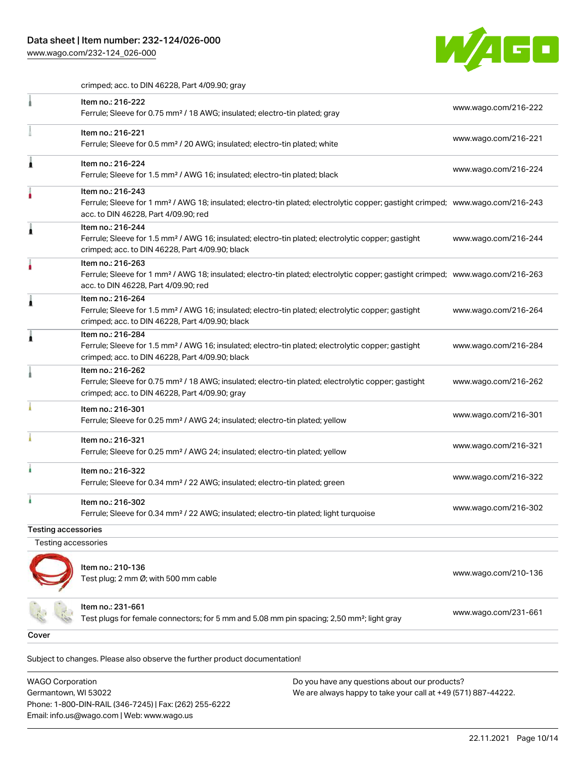

crimped; acc. to DIN 46228, Part 4/09.90; gray

|                            | Item no.: 216-222<br>Ferrule; Sleeve for 0.75 mm <sup>2</sup> / 18 AWG; insulated; electro-tin plated; gray                                                                                             | www.wago.com/216-222 |
|----------------------------|---------------------------------------------------------------------------------------------------------------------------------------------------------------------------------------------------------|----------------------|
|                            | Item no.: 216-221<br>Ferrule; Sleeve for 0.5 mm <sup>2</sup> / 20 AWG; insulated; electro-tin plated; white                                                                                             | www.wago.com/216-221 |
|                            | Item no.: 216-224<br>Ferrule; Sleeve for 1.5 mm <sup>2</sup> / AWG 16; insulated; electro-tin plated; black                                                                                             | www.wago.com/216-224 |
|                            | Item no.: 216-243<br>Ferrule; Sleeve for 1 mm <sup>2</sup> / AWG 18; insulated; electro-tin plated; electrolytic copper; gastight crimped; www.wago.com/216-243<br>acc. to DIN 46228, Part 4/09.90; red |                      |
|                            | Item no.: 216-244<br>Ferrule; Sleeve for 1.5 mm <sup>2</sup> / AWG 16; insulated; electro-tin plated; electrolytic copper; gastight<br>crimped; acc. to DIN 46228, Part 4/09.90; black                  | www.wago.com/216-244 |
|                            | Item no.: 216-263<br>Ferrule; Sleeve for 1 mm <sup>2</sup> / AWG 18; insulated; electro-tin plated; electrolytic copper; gastight crimped; www.wago.com/216-263<br>acc. to DIN 46228, Part 4/09.90; red |                      |
|                            | Item no.: 216-264<br>Ferrule; Sleeve for 1.5 mm <sup>2</sup> / AWG 16; insulated; electro-tin plated; electrolytic copper; gastight<br>crimped; acc. to DIN 46228, Part 4/09.90; black                  | www.wago.com/216-264 |
|                            | Item no.: 216-284<br>Ferrule; Sleeve for 1.5 mm <sup>2</sup> / AWG 16; insulated; electro-tin plated; electrolytic copper; gastight<br>crimped; acc. to DIN 46228, Part 4/09.90; black                  | www.wago.com/216-284 |
|                            | Item no.: 216-262<br>Ferrule; Sleeve for 0.75 mm <sup>2</sup> / 18 AWG; insulated; electro-tin plated; electrolytic copper; gastight<br>crimped; acc. to DIN 46228, Part 4/09.90; gray                  | www.wago.com/216-262 |
|                            | Item no.: 216-301<br>Ferrule; Sleeve for 0.25 mm <sup>2</sup> / AWG 24; insulated; electro-tin plated; yellow                                                                                           | www.wago.com/216-301 |
|                            | Item no.: 216-321<br>Ferrule; Sleeve for 0.25 mm <sup>2</sup> / AWG 24; insulated; electro-tin plated; yellow                                                                                           | www.wago.com/216-321 |
|                            | Item no.: 216-322<br>Ferrule; Sleeve for 0.34 mm <sup>2</sup> / 22 AWG; insulated; electro-tin plated; green                                                                                            | www.wago.com/216-322 |
|                            | Item no.: 216-302<br>Ferrule; Sleeve for 0.34 mm <sup>2</sup> / 22 AWG; insulated; electro-tin plated; light turquoise                                                                                  | www.wago.com/216-302 |
| <b>Testing accessories</b> |                                                                                                                                                                                                         |                      |
| Testing accessories        |                                                                                                                                                                                                         |                      |
|                            | Item no.: 210-136<br>Test plug; 2 mm Ø; with 500 mm cable                                                                                                                                               | www.wago.com/210-136 |
|                            | Item no.: 231-661<br>Test plugs for female connectors; for 5 mm and 5.08 mm pin spacing; 2,50 mm <sup>2</sup> ; light gray                                                                              | www.wago.com/231-661 |
| Cover                      |                                                                                                                                                                                                         |                      |

Subject to changes. Please also observe the further product documentation! Cover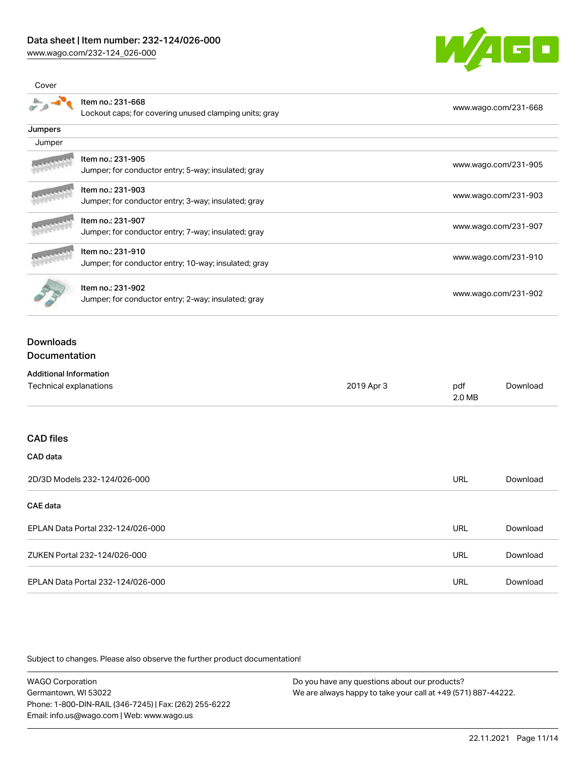Cover



|                                                        | Item no.: 231-668                                    |            |            | www.wago.com/231-668 |  |
|--------------------------------------------------------|------------------------------------------------------|------------|------------|----------------------|--|
| Lockout caps; for covering unused clamping units; gray |                                                      |            |            |                      |  |
| Jumpers                                                |                                                      |            |            |                      |  |
| Jumper                                                 |                                                      |            |            |                      |  |
|                                                        | Item no.: 231-905                                    |            |            |                      |  |
|                                                        | Jumper; for conductor entry; 5-way; insulated; gray  |            |            | www.wago.com/231-905 |  |
|                                                        | Item no.: 231-903                                    |            |            |                      |  |
|                                                        | Jumper; for conductor entry; 3-way; insulated; gray  |            |            | www.wago.com/231-903 |  |
|                                                        | Item no.: 231-907                                    |            |            |                      |  |
|                                                        | Jumper; for conductor entry; 7-way; insulated; gray  |            |            | www.wago.com/231-907 |  |
|                                                        | Item no.: 231-910                                    |            |            |                      |  |
|                                                        | Jumper; for conductor entry; 10-way; insulated; gray |            |            | www.wago.com/231-910 |  |
|                                                        | Item no.: 231-902                                    |            |            |                      |  |
|                                                        | Jumper; for conductor entry; 2-way; insulated; gray  |            |            | www.wago.com/231-902 |  |
| <b>Downloads</b>                                       |                                                      |            |            |                      |  |
| <b>Documentation</b>                                   |                                                      |            |            |                      |  |
| <b>Additional Information</b>                          |                                                      |            |            |                      |  |
| Technical explanations                                 |                                                      | 2019 Apr 3 | pdf        | Download             |  |
|                                                        |                                                      |            | 2.0 MB     |                      |  |
| <b>CAD files</b>                                       |                                                      |            |            |                      |  |
|                                                        |                                                      |            |            |                      |  |
| CAD data                                               |                                                      |            |            |                      |  |
|                                                        | 2D/3D Models 232-124/026-000                         |            | <b>URL</b> | Download             |  |

| CAE data                          |     |          |
|-----------------------------------|-----|----------|
| EPLAN Data Portal 232-124/026-000 | URL | Download |
| ZUKEN Portal 232-124/026-000      | URL | Download |
| EPLAN Data Portal 232-124/026-000 | URL | Download |

Subject to changes. Please also observe the further product documentation!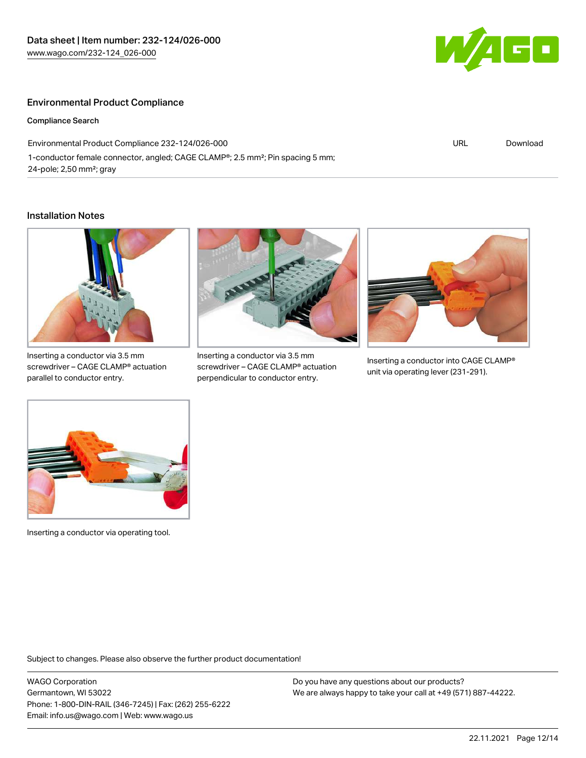

## Environmental Product Compliance

#### Compliance Search

Environmental Product Compliance 232-124/026-000 1-conductor female connector, angled; CAGE CLAMP®; 2.5 mm²; Pin spacing 5 mm; 24-pole; 2,50 mm²; gray

URL [Download](https://www.wago.com/global/d/ComplianceLinkMediaContainer_232-124_026-000)

### Installation Notes



Inserting a conductor via 3.5 mm screwdriver – CAGE CLAMP® actuation parallel to conductor entry.



Inserting a conductor via 3.5 mm screwdriver – CAGE CLAMP® actuation perpendicular to conductor entry.



Inserting a conductor into CAGE CLAMP® unit via operating lever (231-291).



Inserting a conductor via operating tool.

Subject to changes. Please also observe the further product documentation!

WAGO Corporation Germantown, WI 53022 Phone: 1-800-DIN-RAIL (346-7245) | Fax: (262) 255-6222 Email: info.us@wago.com | Web: www.wago.us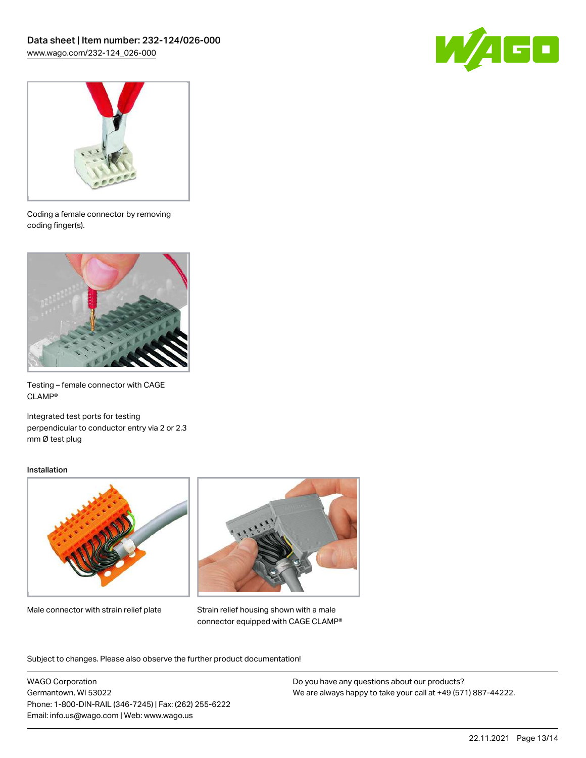



Coding a female connector by removing coding finger(s).



Testing – female connector with CAGE CLAMP®

Integrated test ports for testing perpendicular to conductor entry via 2 or 2.3 mm Ø test plug

#### Installation



Male connector with strain relief plate



Strain relief housing shown with a male connector equipped with CAGE CLAMP®

Subject to changes. Please also observe the further product documentation!

WAGO Corporation Germantown, WI 53022 Phone: 1-800-DIN-RAIL (346-7245) | Fax: (262) 255-6222 Email: info.us@wago.com | Web: www.wago.us